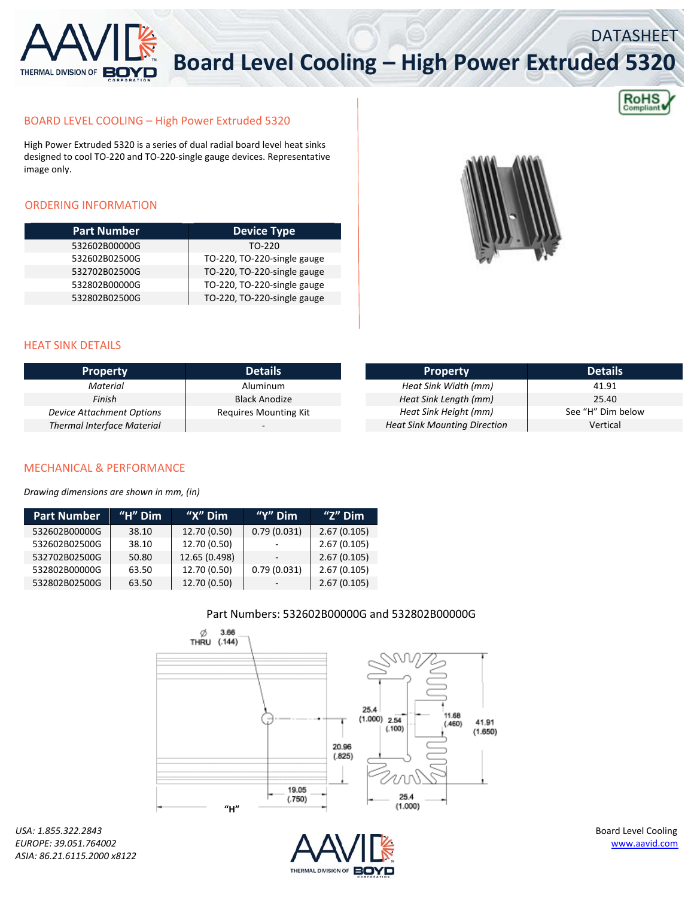

# **Board Level Cooling – High Power Extruded 5320**



DATASHEET

### BOARD LEVEL COOLING – High Power Extruded 5320

High Power Extruded 5320 is a series of dual radial board level heat sinks designed to cool TO‐220 and TO‐220‐single gauge devices. Representative image only.

## ORDERING INFORMATION

| <b>Part Number</b> | <b>Device Type</b>          |
|--------------------|-----------------------------|
| 532602B00000G      | TO-220                      |
| 532602B02500G      | TO-220, TO-220-single gauge |
| 532702B02500G      | TO-220, TO-220-single gauge |
| 532802B00000G      | TO-220, TO-220-single gauge |
| 532802B02500G      | TO-220, TO-220-single gauge |



#### HEAT SINK DETAILS

| <b>Property</b>                   | <b>Details</b>               | <b>Property</b>                     | <b>Details</b>    |
|-----------------------------------|------------------------------|-------------------------------------|-------------------|
| Material                          | Aluminum                     | Heat Sink Width (mm)                | 41.91             |
| Finish                            | Black Anodize                | Heat Sink Length (mm)               | 25.40             |
| Device Attachment Options         | <b>Requires Mounting Kit</b> | Heat Sink Height (mm)               | See "H" Dim below |
| <b>Thermal Interface Material</b> |                              | <b>Heat Sink Mounting Direction</b> | Vertical          |

#### MECHANICAL & PERFORMANCE

*Drawing dimensions are shown in mm, (in)*

| <b>Part Number</b> | "H" $Dim$ | " $X''$ Dim   | "Y" $Dim$   | "Z" $Dim$   |
|--------------------|-----------|---------------|-------------|-------------|
| 532602B00000G      | 38.10     | 12.70 (0.50)  | 0.79(0.031) | 2.67(0.105) |
| 532602B02500G      | 38.10     | 12.70 (0.50)  |             | 2.67(0.105) |
| 532702B02500G      | 50.80     | 12.65 (0.498) |             | 2.67(0.105) |
| 532802B00000G      | 63.50     | 12.70 (0.50)  | 0.79(0.031) | 2.67(0.105) |
| 532802B02500G      | 63.50     | 12.70 (0.50)  |             | 2.67(0.105) |

#### Part Numbers: 532602B00000G and 532802B00000G